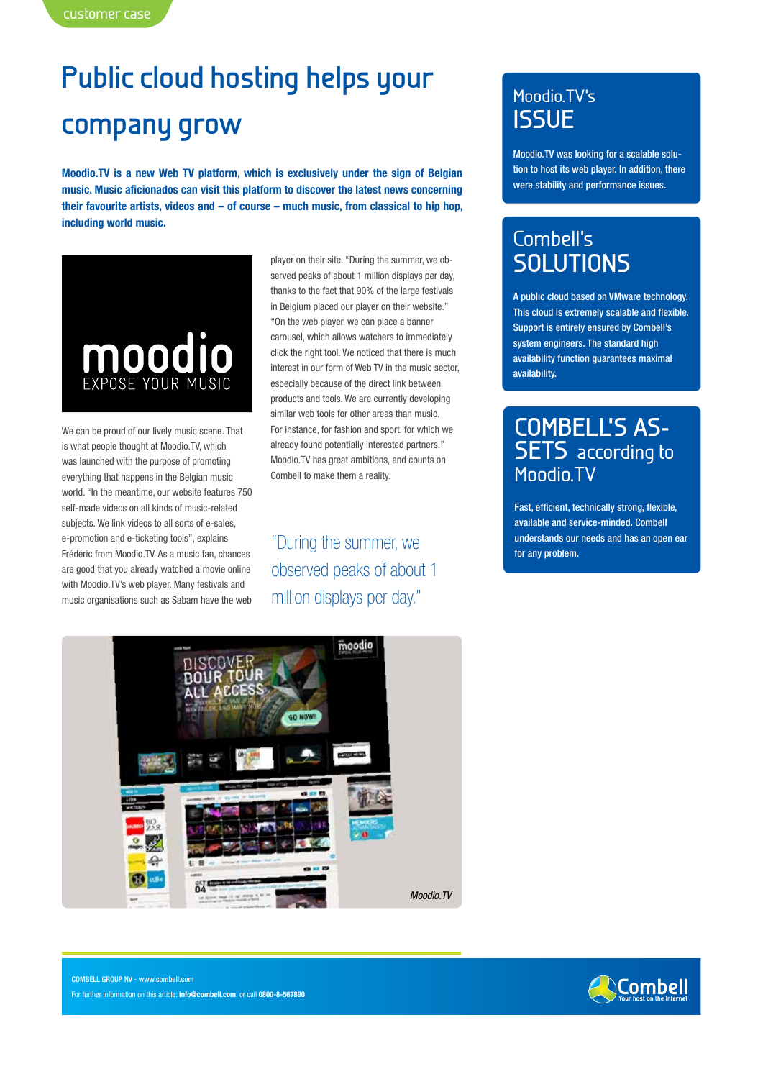# **Public cloud hosting helps your**

### **company grow**

**Moodio.TV is a new Web TV platform, which is exclusively under the sign of Belgian music. Music aficionados can visit this platform to discover the latest news concerning their favourite artists, videos and – of course – much music, from classical to hip hop, including world music.**



We can be proud of our lively music scene. That is what people thought at Moodio.TV, which was launched with the purpose of promoting everything that happens in the Belgian music world. "In the meantime, our website features 750 self-made videos on all kinds of music-related subjects. We link videos to all sorts of e-sales, e-promotion and e-ticketing tools", explains Frédéric from Moodio.TV. As a music fan, chances are good that you already watched a movie online with Moodio.TV's web player. Many festivals and music organisations such as Sabam have the web

player on their site. "During the summer, we observed peaks of about 1 million displays per day, thanks to the fact that 90% of the large festivals in Belgium placed our player on their website." "On the web player, we can place a banner carousel, which allows watchers to immediately click the right tool. We noticed that there is much interest in our form of Web TV in the music sector, especially because of the direct link between products and tools. We are currently developing similar web tools for other areas than music. For instance, for fashion and sport, for which we already found potentially interested partners." Moodio.TV has great ambitions, and counts on Combell to make them a reality.

"During the summer, we **Example 19 and 1997 of the summerstands our** observed peaks of about 1 million displays per day."

#### Moodio.TV's **ISSUE**

Moodio.TV was looking for a scalable solution to host its web player. In addition, there were stability and performance issues.

### Combell's **SOLUTIONS**

A public cloud based on VMware technology. This cloud is extremely scalable and flexible. Support is entirely ensured by Combell's system engineers. The standard high availability function guarantees maximal availability.

## **Combell's as- sets** according to Moodio.TV

Fast, efficient, technically strong, flexible, available and service-minded. Combell understands our needs and has an open ear



**SCombell** 

COMBELL GROUP NV - www.combell.com For further information on this article: **info@combell.com**, or call **0800-8-567890**